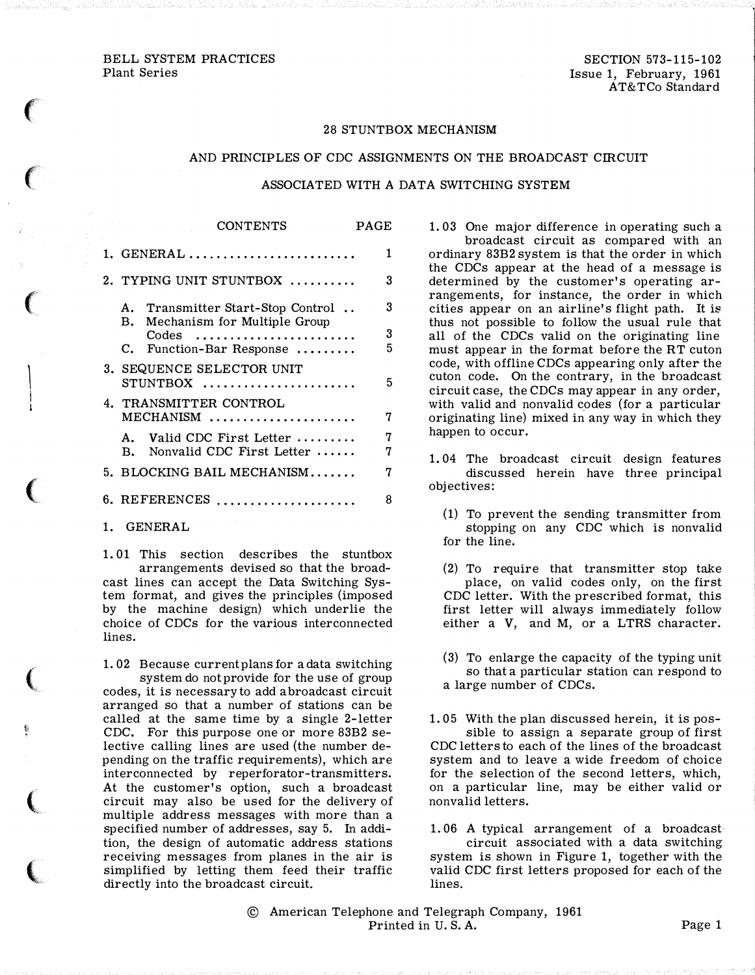$\epsilon$ 

 $\left($ 

 $\big($ 

 $\vert$ I I

 $\big($ 

(

ti

 $\big($ 

 $\overline{\mathbb{C}}$ 

### 28 STUNTBOX MECHANISM

### AND PRINCIPLES OF CDC ASSIGNMENTS ON THE BROADCAST CIRCUIT

#### ASSOCIATED WITH A DATA SWITCHING SYSTEM

| <b>CONTENTS</b>                                                      | <b>PAGE</b> |
|----------------------------------------------------------------------|-------------|
| $1. \text{ GENERAL} \dots \dots \dots \dots \dots \dots \dots \dots$ | 1           |
| 2. TYPING UNIT STUNTBOX                                              | 3           |
| A. Transmitter Start-Stop Control<br>B. Mechanism for Multiple Group | 3           |
| $\text{Codes}$<br>C. Function-Bar Response                           | 3<br>5      |
| 3. SEQUENCE SELECTOR UNIT                                            | 5           |
| 4. TRANSMITTER CONTROL<br>$MECHANISM$                                | 7           |
| A. Valid CDC First Letter<br>Nonvalid CDC First Letter<br>В.         | 7<br>7      |
| 5. BLOCKING BAIL MECHANISM                                           | 7           |
|                                                                      | 8           |

1. GENERAL

1. 01 This section describes the stuntbox arrangements devised so that the broadcast lines can accept the Data Switching System format, and gives the principles (imposed by the machine design) which underlie the choice of CDCs for the various interconnected lines.

1. 02 Because current plans for a data switching system do not provide for the use of group codes, it is necessary to add a broadcast circuit arranged so that a number of stations can be called at the same time by a single 2-letter CDC. For this purpose one or more 83B2 selective calling lines are used (the number depending on the traffic requirements), which are interconnected by reperforator-transmitters. At the customer's option, such a broadcast circuit may also be used for the delivery of multiple address messages with more than a specified number of addresses, say 5. In addition, the design of automatic address stations receiving messages from planes in the air is simplified by letting them feed their traffic directly into the broadcast circuit.

1. 03 One major difference in operating such a broadcast circuit as compared with an ordinary 83B2 system is that the order in which the CDCs appear at the head of a message is determined by the customer's operating arrangements, for instance, the order in which cities appear on an airline's flight path. It is thus not possible to follow the usual rule that all of the CDCs valid on the originating line must appear in the format before the RT cuton code, with offline CDCs appearing only after the cuton code. On the contrary, in the broadcast circuit case, the CDCs may appear in any order, with valid and nonvalid codes (for a particular originating line) mixed in any way in which they happen to occur.

- 1. 04 The broadcast circuit design features discussed herein have three principal objectives:
	- (1) To prevent the sending transmitter from stopping on any CDC which is nonvalid for the line.
	- (2) To require that transmitter stop take place, on valid codes only, on the first CDC letter. With the prescribed format, this first letter will always immediately follow either a V, and M, or a LTRS character.
	- ( 3) To enlarge the capacity of the typing unit so that a particular station can respond to a large number of CDCs.
- 1. 05 With the plan discussed herein, it is possible to assign a separate group of first CDC letters to each of the lines of the broadcast system and to leave a wide freedom of choice for the selection of the second letters, which, on a particular line, may be either valid or nonvalid letters.

1. 06 A typical arrangement of a broadcast circuit associated with a data switching system is shown in Figure 1, together with the valid CDC first letters proposed for each of the lines.

© American Telephone and Telegraph Company, 1961 Printed in U.S.A. Page 1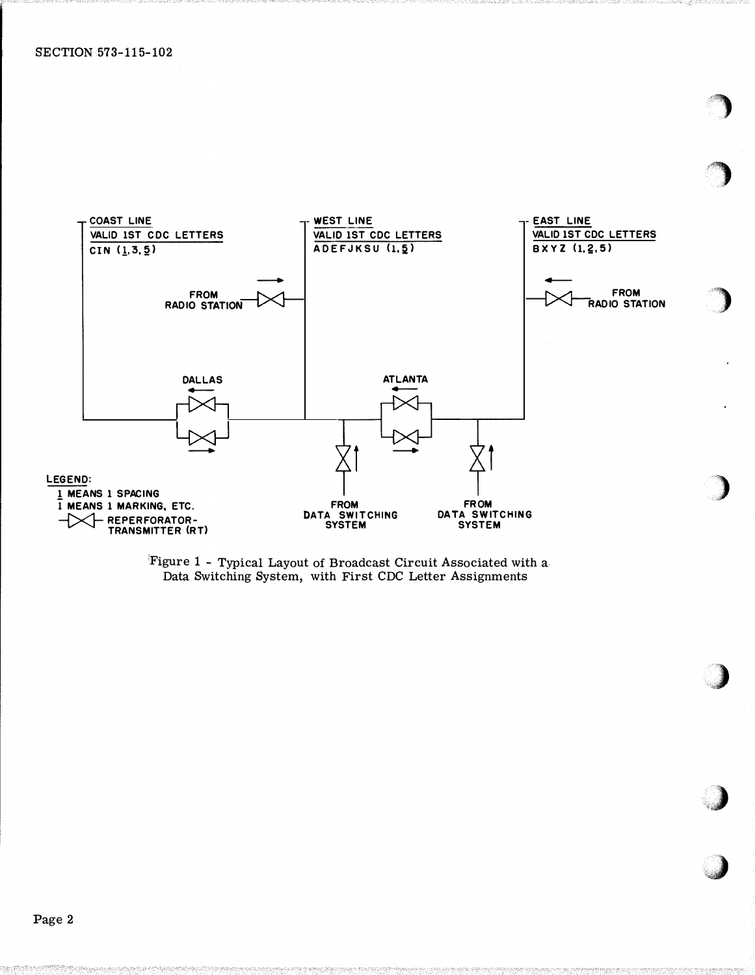

Figure 1 - Typical Layout of Broadcast Circuit Associated with a Data Switching System, with First CDC Letter Assignments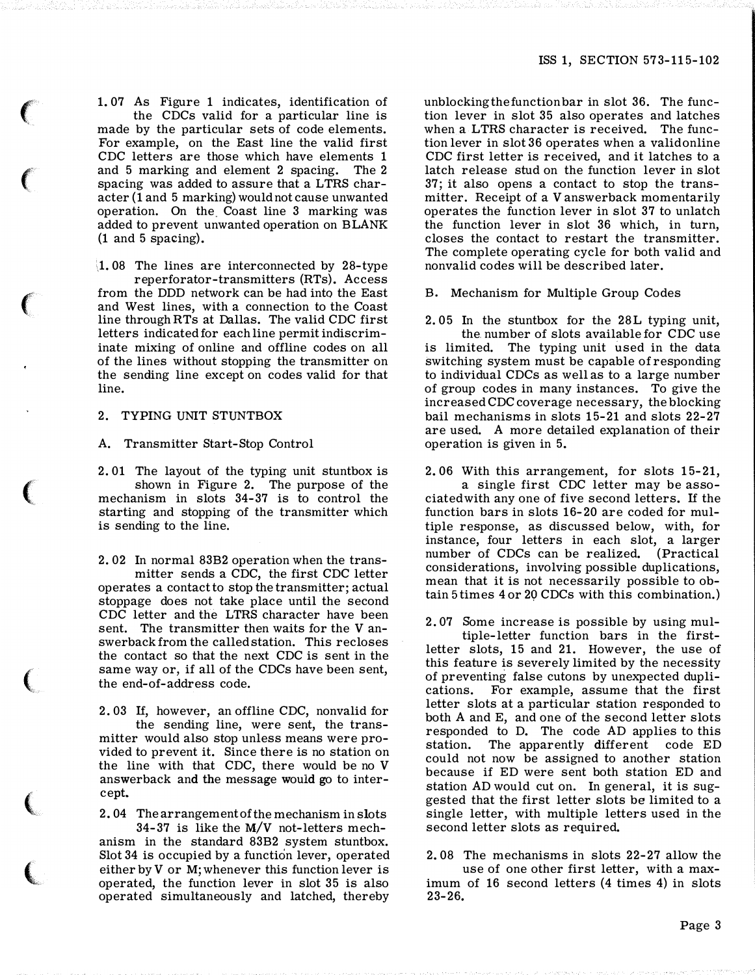1. 07 As Figure 1 indicates, identification of the CDCs valid for a particular line is made by the particular sets of code elements. For example, on the East line the valid first CDC letters are those which have elements 1 and 5 marking and element 2 spacing. The 2 spacing was added to assure that a LTRS character (1 and 5 marking) would not cause unwanted operation. On the. Coast line 3 marking was added to prevent unwanted operation on BLANK (1 and 5 spacing).

'J. 08 The lines are interconnected by 28-type reperforator-transmitters (RTs). Access from the DDD network can be had into the East and West lines, with a connection to the Coast line through RTs at Dallas. The valid CDC first letters indicated for each line permit indiscriminate mixing of online and offline codes on all of the lines without stopping the transmitter on the sending line except on codes valid for that line.

## 2. TYPING UNIT STUNTBOX

 $\epsilon$ 

 $\big($ 

 $\big($ 

 $\big($ 

 $\big($ 

 $\big($ 

 $\bigl($ 

A. Transmitter Start-Stop Control

2. 01 The layout of the typing unit stuntbox is shown in Figure 2. The purpose of the mechanism in slots 34-37 is to control the starting and stopping of the transmitter which is sending to the line.

2. 02 In normal 83B2 operation when the transmitter sends a CDC, the first CDC letter operates a contact to stop the transmitter; actual stoppage does not take place until the second CDC letter and the LTRS character have been sent. The transmitter then waits for the V answerback from the called station. This recloses the contact so that the next CDC is sent in the same way or, if all of the CDCs have been sent, the end-of-address code.

2. 03 If, however, an offline CDC, nonvalid for the sending line, were sent, the transmitter would also stop unless means were provided to prevent it. Since there is no station on the line with that CDC, there would be no V answerback and the message would go to intercept.

2. 04 The arrangement of the mechanism in slots 34-37 is like the M/V not-letters mech-

anism in the standard 83B2 system stuntbox. Slot 34 is occupied by a function lever, operated either by V or M; whenever this function lever is operated, the function lever in slot 35 is also operated simultaneously and latched, thereby

unblocking the function bar in slot 36. The function lever in slot 35 also operates and latches when a LTRS character is received. The function lever in slot 36 operates when a valid online CDC first letter is received, and it latches to a latch release stud on the function lever in slot 37; it also opens a contact to stop the transmitter. Receipt of a V answerback momentarily operates the function lever in slot 37 to unlatch the function lever in slot 36 which, in turn, closes the contact to restart the transmitter. The complete operating cycle for both valid and nonvalid codes will be described later.

B. Mechanism for Multiple Group Codes

2. 05 In the stuntbox for the 28L typing unit, the. number of slots available for CDC use is limited. The typing unit used in the data switching system must be capable of responding to individual CDCs as well as to a large number of group codes in many instances. To give the increased CDC coverage necessary, the blocking bail mechanisms in slots 15-21 and slots 22-27 are used. A more detailed explanation of their operation is given in 5.

2. 06 With this arrangement, for slots 15-21, a single first CDC letter may be associated with any one of five second letters. If the function bars in slots 16-20 are coded for multiple response, as discussed below, with, for instance, four letters in each slot, a larger number of CDCs can be realized. (Practical considerations, involving possible duplications, mean that it is not necessarily possible to obtain 5 times 4 or 29 CDCs with this combination.)

2. 07 Some increase is possible by using mul-

tiple-letter function bars in the firstletter slots, 15 and 21. However, the use of this feature is severely limited by the necessity of preventing false cutons by unexpected duplications. For example, assume that the first letter slots at a particular station responded to both A and E, and one of the second letter slots responded to D. The code AD applies to this station. The apparently different code ED could not now be assigned to another station because if ED were sent both station ED and station AD would cut on. In general, it is suggested that the first letter slots be limited to a single letter, with multiple letters used in the second letter slots as required.

2. 08 The mechanisms in slots 22-27 allow the use of one other first letter, with a maximum of 16 second letters (4 times 4) in slots 23-26.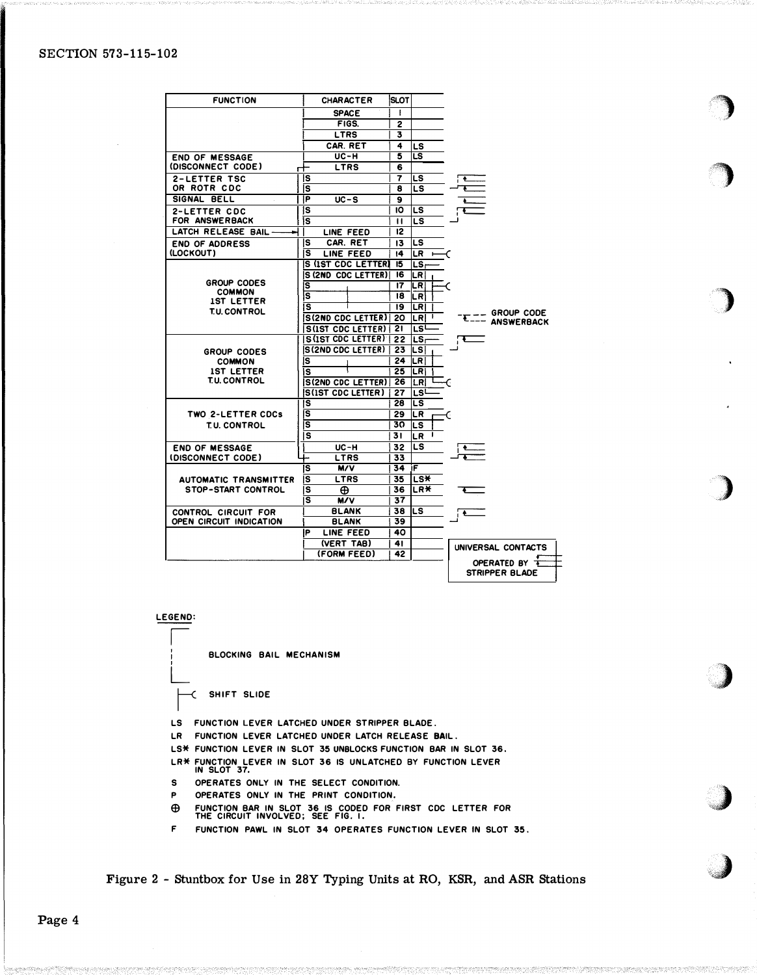# SECTION 573-115-102

| <b>FUNCTION</b>                    | <b>CHARACTER</b>            | SLOT            |             |                                |
|------------------------------------|-----------------------------|-----------------|-------------|--------------------------------|
|                                    | <b>SPACE</b>                | Ŧ               |             |                                |
|                                    | FIGS.                       | 2               |             |                                |
|                                    | <b>LTRS</b>                 | 3               |             |                                |
|                                    | CAR. RET                    | 4               | LS          |                                |
| <b>END OF MESSAGE</b>              | <b>UC-H</b>                 | 5               | LS          |                                |
| (DISCONNECT CODE)<br>⊢             | LTRS                        | 6               |             |                                |
| <b>2-LETTER TSC</b>                | ls                          | 7               | LS          |                                |
| OR ROTR CDC                        | ls                          | 8               | LS          |                                |
| SIGNAL BELL                        | łР<br>$UC-S$                | 9               |             |                                |
| <b>2-LETTER CDC</b>                | s                           | ١O              | LS          |                                |
| FOR ANSWERBACK                     | ١s                          | п               | LS          |                                |
| LATCH RELEASE BAIL-                | LINE FEED                   | 12              |             |                                |
| <b>END OF ADDRESS</b>              | CAR. RET<br>s               | 13              | LS          |                                |
| (LOCKOUT)                          | LINE FEED<br>s              | 14              | $LR +$      |                                |
|                                    | IS (IST CDC LETTER)         | 15              | LS-         |                                |
|                                    | S (2ND CDC LETTER)          | 16              | LR I        |                                |
| GROUP CODES                        | lS                          | $\overline{17}$ | LR          |                                |
| <b>COMMON</b><br><b>IST LETTER</b> | ls                          | 18              | LR.         |                                |
| <b>T.U. CONTROL</b>                | lS                          | 19              | <b>LRI</b>  |                                |
|                                    | S(2ND CDC LETTER)           | 20              | LRI<br>л,   | — GROUP CODE<br>--- ANSWERBACK |
|                                    | S(IST CDC LETTER)   21      |                 | LS          |                                |
|                                    | S(IST CDC LETTER)           | 22              | LS.         |                                |
| <b>GROUP CODES</b>                 | <b>S(2ND CDC LETTER)</b>    | 23              | LS          |                                |
| <b>COMMON</b>                      | lS                          | 24 <sub>1</sub> | ILR I       |                                |
| <b>1ST LETTER</b>                  | ١s                          | 25              | LRI         |                                |
| <b>T.U. CONTROL</b>                | <b>S(2ND CDC LETTER)</b> 26 |                 | LRI         |                                |
|                                    | <b>S(IST CDC LETTER)</b>    | 27              | LSL         |                                |
|                                    | ۱s                          | 28              | LS          |                                |
| TWO 2-LETTER CDCs                  | ΙS                          | 29              | ILR.        | C                              |
| T.U. CONTROL                       | S                           | 30              | LS          |                                |
|                                    | s                           | 31              | <b>LR</b>   |                                |
| <b>END OF MESSAGE</b>              | UC-H                        | 32              | LS          |                                |
| (DISCONNECT CODE)                  | LTRS                        | $\overline{33}$ |             |                                |
|                                    | lS<br>M/V                   | 34 IF           |             |                                |
| <b>AUTOMATIC TRANSMITTER</b>       | lS<br>LTRS                  | 35              | ∣LS¥        |                                |
| <b>STOP-START CONTROL</b>          | s<br>⊕                      | 36              | <b>ILR*</b> |                                |
|                                    | s<br>M/V                    | 37              |             |                                |
| <b>CONTROL CIRCUIT FOR</b>         | <b>BLANK</b>                | 38              | ILS         |                                |
| OPEN CIRCUIT INDICATION            | <b>BLANK</b>                | 39              |             |                                |
|                                    | P<br>LINE FEED              | 40              |             |                                |
|                                    | (VERT TAB)                  | 41              |             | UNIVERSAL CONTACTS             |
|                                    | (FORM FEED)                 | 42              |             |                                |
|                                    |                             |                 |             | OPERATED BY                    |
|                                    |                             |                 |             | STRIPPER BLADE                 |

)

�)

)

)

 $\begin{array}{c} \hline \end{array}$ 

'4)

,:J

LEGEND:

I  $\Box$ 

 $\Box$ 

BLOCKING BAIL MECHANISM

� SHIFT SLIDE

LS FUNCTION LEVER LATCHED UNDER STRIPPER BLADE.

LR FUNCTION LEVER LATCHED UNDER LATCH RELEASE BAIL.

LS\* FUNCTION LEVER IN SLOT 35 UNBLOCKS FUNCTION BAR IN SLOT 36.

LR\* FUNCTION LEVER IN SLOT 36 IS UNLATCHED BY FUNCTION LEVER IN SLOT 37.

S OPERATES ONLY IN THE SELECT CONDITION.

p OPERATES ONLY IN THE PRINT CONDITION.

E9 FUNCTION BAR IN SLOT 36 IS CODED FOR FIRST CDC LETTER FOR THE CIRCUIT INVOLVED; SEE FIG. I.

F FUNCTION PAWL IN SLOT 34 OPERATES FUNCTION LEVER IN SLOT 35.

Figure 2 - Stuntbox for Use in 28Y Typing Units at RO, KSR, and ASR Stations

Page 4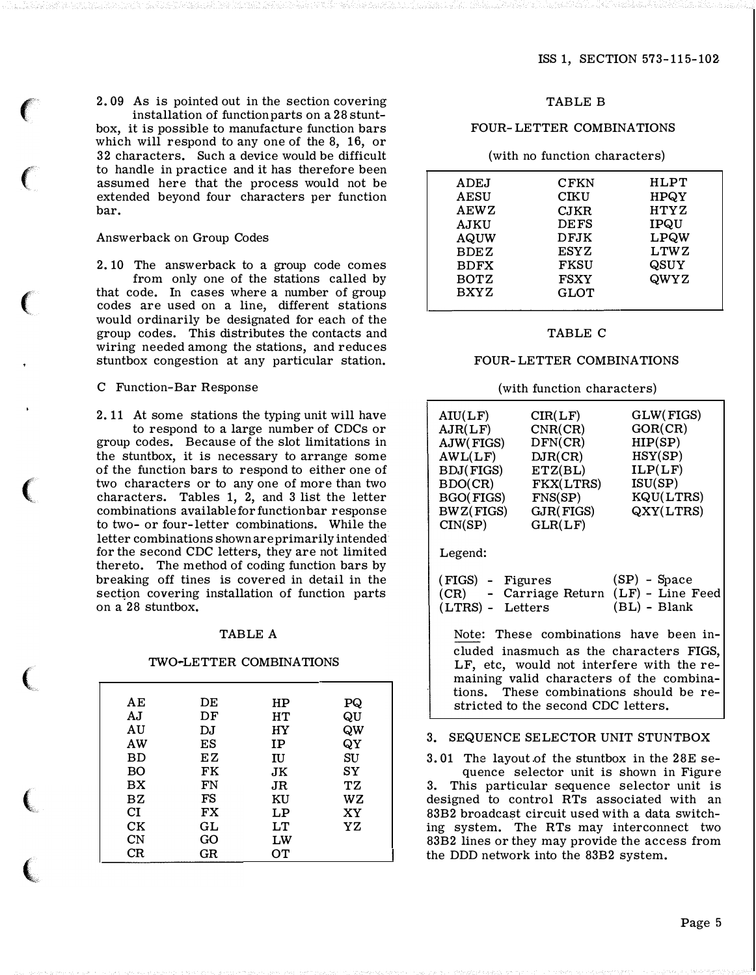2. 09 As is pointed out in the section covering installation of function parts on a 28 stuntbox, it is possible to manufacture function bars which will respond to any one of the 8, 16, or 32 characters. Such a device would be difficult to handle in practice and it has therefore been assumed here that the process would not be extended beyond four characters per function bar.

#### Answerback on Group Codes

 $\epsilon$ 

 $\big($ 

 $\big($ 

 $\big($ 

(

 $\big($ 

"

2. 10 The answerback to a group code comes from only one of the stations called by that code. In cases where a number of group codes are used on a line, different stations would ordinarily be designated for each of the group codes. This distributes the contacts and wiring needed among the stations, and reduces stuntbox congestion at any particular station.

## C Function-Bar Response

2. 11 At some stations the typing unit will have to respond to a large number of CDCs or group codes. Because of the slot limitations in the stuntbox, it is necessary to arrange some of the function bars to respond to either one of two characters or to any one of more than two characters. Tables 1, 2, and 3 list the letter combinations available for function bar response to two- or four-letter combinations. While the letter combinations shown are primarily intended for the second CDC letters, they are not limited thereto. The method of coding function bars by breaking off tines is covered in detail in the section covering installation of function parts on a 28 stuntbox.

#### TABLE A

## TWO-LETTER COMBINATIONS

| ΑE  | DE | HP | PQ |
|-----|----|----|----|
| A.I | DF | HТ | QU |
| AU  | DJ | НY | QW |
| AW  | ES | IP | QY |
| ВD  | ΕZ | IU | SU |
| BO  | FK | JK | SY |
| BX  | FN | JR | TZ |
| BZ  | FS | ΚU | wz |
| СĪ  | FX | LP | ХY |
| CК  | GL | LT | ΥZ |
| CN  | GO | LW |    |
| CR  | GR | OТ |    |
|     |    |    |    |

## TABLE B

### FOUR-LETTER COMBINATIONS

#### (with no function characters)

| <b>ADEJ</b><br>AESU<br><b>AEWZ</b><br><b>AJKU</b><br>AQUW<br><b>BDEZ</b><br><b>BDFX</b><br><b>BOTZ</b> | <b>CFKN</b><br>CIKU<br>CJKR<br><b>DEFS</b><br><b>DFJK</b><br><b>ESYZ</b><br><b>FKSU</b><br><b>FSXY</b> | HLPT<br><b>HPQY</b><br><b>HTYZ</b><br><b>IPQU</b><br><b>LPQW</b><br><b>LTWZ</b><br>QSUY<br>QWYZ |
|--------------------------------------------------------------------------------------------------------|--------------------------------------------------------------------------------------------------------|-------------------------------------------------------------------------------------------------|
| <b>BXYZ</b>                                                                                            | GLOT                                                                                                   |                                                                                                 |
|                                                                                                        |                                                                                                        |                                                                                                 |

#### TABLE C

#### FOUR-LETTER COMBINATIONS

### (with function characters)

| AIU(LF)                                    | CIR(LF)   | GLW(FIGS) |  |  |  |
|--------------------------------------------|-----------|-----------|--|--|--|
| AJR(LF)                                    | CNR(CR)   | GOR(CR)   |  |  |  |
| AJW(FIGS)                                  | DFN(CR)   | HIP(SP)   |  |  |  |
| AWL(LF)                                    | DIR(CR)   | HSY(SP)   |  |  |  |
| <b>BDJ</b> (FIGS)                          | ETZ(BL)   | ILP(LF)   |  |  |  |
| BDO(CR)                                    | FKX(LTRS) | ISU(SP)   |  |  |  |
| BGO(FIGS)                                  | FNS(SP)   | KQU(LTRS) |  |  |  |
| BWZ(FIGS)                                  | GJR(FIGS) | QXY(LTRS) |  |  |  |
| CIN(SP)                                    | GLR(LF)   |           |  |  |  |
| Legend:                                    |           |           |  |  |  |
|                                            |           |           |  |  |  |
| $(SP)$ - Space<br>(FIGS) - Figures         |           |           |  |  |  |
| - Carriage Return (LF) - Line Feed<br>(CR) |           |           |  |  |  |
| $(BL)$ - Blank<br>$(LTRS)$ -<br>Letters    |           |           |  |  |  |
|                                            |           |           |  |  |  |
| Note: These combinations have been in-     |           |           |  |  |  |
| cluded inasmuch as the characters FIGS,    |           |           |  |  |  |

cluded inasmuch as the characters FIGS, LF, etc, would not interfere with the remaining valid characters of the combinations. These combinations should be restricted to the second CDC letters.

## 3. SEQUENCE SELECTOR UNIT STUNTBOX

3. 01 The layout of the stuntbox in the 28E se-

quence selector unit is shown in Figure 3. This particular sequence selector unit is designed to control RTs associated with an 83B2 broadcast circuit used with a data switching system. The RTs may interconnect two 83B2 lines or they may provide the access from the DDD network into the 83B2 system.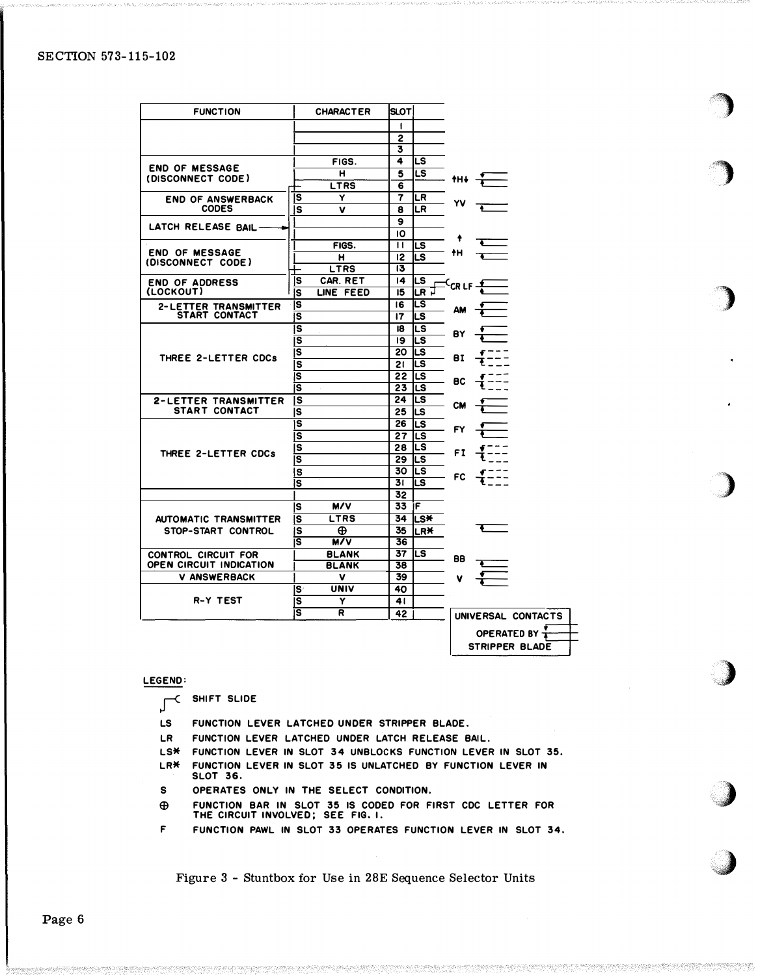| <b>FUNCTION</b>                            |                         | <b>CHARACTER</b> | ISLOTI          |            |           |                       |  |
|--------------------------------------------|-------------------------|------------------|-----------------|------------|-----------|-----------------------|--|
|                                            |                         |                  | 1               |            |           |                       |  |
|                                            |                         |                  | 2               |            |           |                       |  |
|                                            |                         |                  | 3               |            |           |                       |  |
|                                            |                         | FIGS.            | 4               | LS         |           |                       |  |
| <b>END OF MESSAGE</b><br>(DISCONNECT CODE) |                         | н                | 5               | LS         |           |                       |  |
|                                            |                         | LTRS             | 6               |            | th↓       |                       |  |
| <b>END OF ANSWERBACK</b>                   | ls                      | Y                | 7               | LR         |           |                       |  |
| <b>CODES</b>                               | s                       | v                | 8               | LR         |           |                       |  |
|                                            |                         |                  | $\mathbf{9}$    |            |           |                       |  |
| LATCH RELEASE BAIL-                        |                         |                  | IO              |            |           |                       |  |
|                                            |                         | FIGS.            | $^{\dagger}$    | LS         |           |                       |  |
| <b>END OF MESSAGE</b>                      |                         | н                | 12              | LS         | tΗ        |                       |  |
| (DISCONNECT CODE)                          |                         | <b>LTRS</b>      | 13              |            |           |                       |  |
| <b>END OF ADDRESS</b>                      | IS                      | CAR. RET         | $\overline{14}$ | LS         |           |                       |  |
| (LOCKOUT)                                  | ls                      | LINE FEED        | 15              | LR P       | $CR LF -$ |                       |  |
| 2-LETTER TRANSMITTER                       | ls                      |                  | 16              | LS         |           |                       |  |
| <b>START CONTACT</b>                       | ls                      |                  | 17              | LS         | AM        |                       |  |
|                                            | $\overline{\mathbf{s}}$ |                  | 18              | LS         |           |                       |  |
|                                            | s                       |                  | 19              | LS         | B۲        |                       |  |
|                                            | lS                      |                  | 20              | lLS        |           |                       |  |
| THREE 2-LETTER CDCs                        | s                       |                  | 21              | LS         | вI        |                       |  |
|                                            | ls                      |                  | 22              | LS         |           |                       |  |
|                                            | ls                      |                  | 23              | LS         | вс        |                       |  |
| <b>2-LETTER TRANSMITTER</b>                | ls                      |                  | 24              | LS         |           |                       |  |
| <b>START CONTACT</b>                       | ls                      |                  | 25              | lLS        | CM        |                       |  |
|                                            | is                      |                  | 26              | LS         |           |                       |  |
|                                            | ls                      |                  | 27              | LS         |           |                       |  |
|                                            | ls                      |                  | 28              | lLS        |           |                       |  |
| THREE 2-LETTER CDCs                        | S                       |                  | 29              | ILS.       | FI        |                       |  |
|                                            | s                       |                  | 30              | LS         |           |                       |  |
|                                            | ls                      |                  | 31              | LS         | FC        |                       |  |
|                                            |                         |                  | 32              |            |           |                       |  |
|                                            | <b>S</b>                | M/V              | 33 IF           |            |           |                       |  |
| <b>AUTOMATIC TRANSMITTER</b>               | ls                      | <b>LTRS</b>      | 34              | l∟s*       |           |                       |  |
| STOP-START CONTROL                         | ls                      | ⊕                | 35              | <b>LR*</b> |           |                       |  |
|                                            | ls                      | M/V              | 36              |            |           |                       |  |
| <b>CONTROL CIRCUIT FOR</b>                 |                         | <b>BLANK</b>     | 37              | LS         |           |                       |  |
| <b>OPEN CIRCUIT INDICATION</b>             |                         | <b>BLANK</b>     | 38              |            | BB        |                       |  |
| <b>V ANSWERBACK</b>                        |                         | v                | 39              |            | v         |                       |  |
|                                            | ls                      | UNIV             | 40              |            |           |                       |  |
| <b>R-Y TEST</b>                            | <b>S</b>                | Υ                | 41              |            |           |                       |  |
|                                            | s                       | R                | 42              |            |           | UNIVERSAL CONTACTS    |  |
|                                            |                         |                  |                 |            |           |                       |  |
|                                            |                         |                  |                 |            |           | <b>OPERATED BY T</b>  |  |
|                                            |                         |                  |                 |            |           | <b>STRIPPER BLADE</b> |  |

#### LEGEND:

SHIFT SLIDE  $\epsilon$ ſ

- LS FUNCTION LEVER LATCHED UNDER STRIPPER BLADE.
- **LR** FUNCTION LEVER LATCHED UNDER LATCH RELEASE BAIL.
- **LS\*** FUNCTION LEVER IN SLOT 34 UNBLOCKS FUNCTION LEVER IN SLOT 35. **LR\*** FUNCTION LEVER IN SLOT 35 IS UNLATCHED BY FUNCTION LEVER IN **SLOT 36.**
- OPERATES ONLY IN THE SELECT CONDITION.  $\boldsymbol{\mathsf{s}}$
- FUNCTION BAR IN SLOT 35 IS CODED FOR FIRST CDC LETTER FOR THE CIRCUIT INVOLVED; SEE FIG. I.  $\oplus$
- $\bar{\mathbf{r}}$ FUNCTION PAWL IN SLOT 33 OPERATES FUNCTION LEVER IN SLOT 34.

Figure 3 - Stuntbox for Use in 28E Sequence Selector Units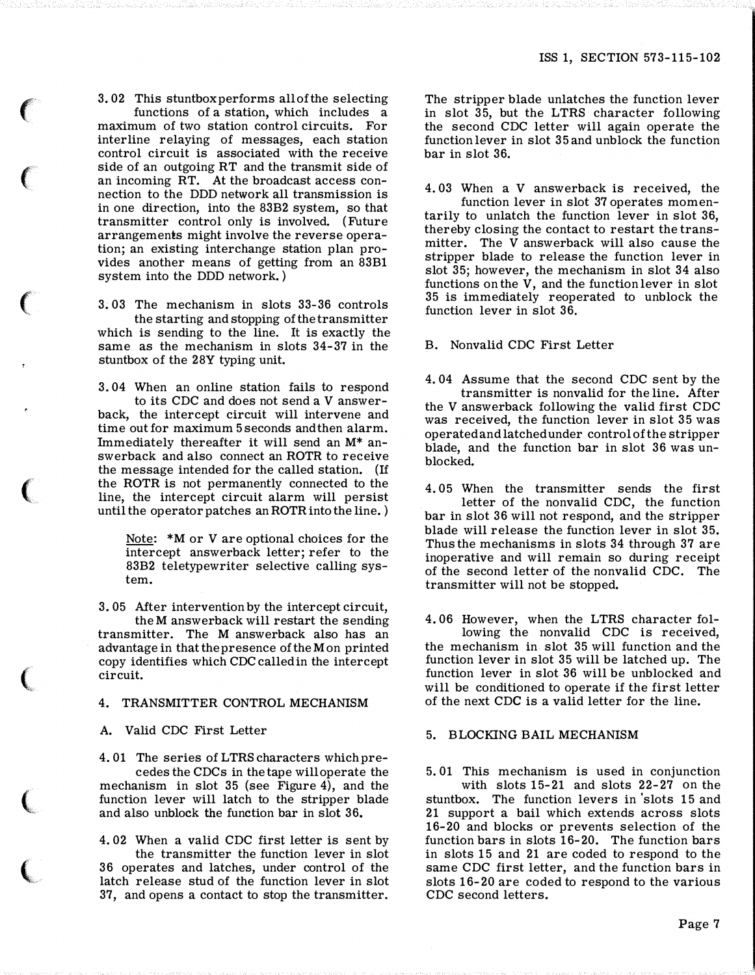3. 02 This stuntbox performs all of the selecting functions of a station, which includes a maximum of two station control circuits. For interline relaying of messages, each station control circuit is associated with the receive side of an outgoing RT and the transmit side of an incoming RT. At the broadcast access connection to the DDD network all transmission is in one direction, into the 83B2 system, so that transmitter control only is involved. (Future arrangements might involve the reverse operation; an existing interchange station plan provides another means of getting from an 83B1 system into the DDD network. )

 $\epsilon$ 

 $\epsilon$ 

 $\epsilon$ 

 $\big($ 

 $\big($ 

 $\big($ 

 $\overline{\mathbb{C}}$ 

3. 03 The mechanism in slots 33-36 controls the starting and stopping of the transmitter which is sending to the line. It is exactly the same as the mechanism in slots 34-37 in the stuntbox of the 28Y typing unit.

3. 04 When an online station fails to respond to its CDC and does not send a V answerback, the intercept circuit will intervene and time out for maximum 5 seconds and then alarm. Immediately thereafter it will send an M\* answerback and also connect an ROTR to receive the message intended for the called station. (If the ROTR is not permanently connected to the line, the intercept circuit alarm will persist until the operator patches an ROTR into the line. )

Note: \*M or V are optional choices for the intercept answerback letter; refer to the 83B2 teletypewriter selective calling system.

3. 05 Mter intervention by the intercept circuit, theM answerback will restart the sending transmitter. The M answerback also has an advantage in that the presence of theM on printed copy identifies which CDC called in the intercept circuit.

4. TRANSMITTER CONTROL MECHANISM

A. Valid CDC First Letter

4. 01 The series of LTRS characters which precedes the CDCs in the tape will operate the mechanism in slot 35 (see Figure 4), and the function lever will latch to the stripper blade and also unblock the function bar in slot 36.

4. 02 When a valid CDC first letter is sent by the transmitter the function lever in slot 36 operates and latches, under control of the latch release stud of the function lever in slot 37, and opens a contact to stop the transmitter.

The stripper blade unlatches the function lever in slot 35, but the LTRS character following the second CDC letter will again operate the function lever in slot 35 and unblock the function bar in slot 36.

4. 03 When a V answerback is received, the

function lever in slot 37 operates momentarily to unlatch the function lever in slot 36, thereby closing the contact to restart the transmitter. The V answerback will also cause the stripper blade to release the function lever in slot 35; however, the mechanism in slot 34 also functions on the V, and the function lever in slot 35 is immediately reoperated to unblock the function lever in slot 36.

B. Nonvalid CDC First Letter

4. 04 Assume that the second CDC sent by the transmitter is nonvalid for the line. After the V answerback following the valid first CDC was received, the function lever in slot 35 was operated and latched under control of the stripper blade, and the function bar in slot 36 was unblocked.

4. 05 When the transmitter sends the first letter of the nonvalid CDC, the function bar in slot 36 will not respond, and the stripper blade will release the function lever in slot 35. Thus the mechanisms in slots 34 through 37 are inoperative and will remain so during receipt of the second letter of the nonvalid CDC. The transmitter will not be stopped.

4. 06 However, when the LTRS character following the nonvalid CDC is received, the mechanism in slot 35 will function and the function lever in slot 35 will be latched up. The function lever in slot 36 will be unblocked and will be conditioned to operate if the first letter of the next CDC is a valid letter for the line.

## 5. BLOCKING BAIL MECHANISM

5. 01 This mechanism is used in conjunction with slots 15-21 and slots 22-27 on the stuntbox. The function levers in 'slots 15 and 21 support a bail which extends across slots 16-20 and blocks or prevents selection of the function bars in slots 16-20. The function bars in slots 15 and 21 are coded to respond to the same CDC first letter, and the function bars in slots 16-20 are coded to respond to the various CDC second letters.